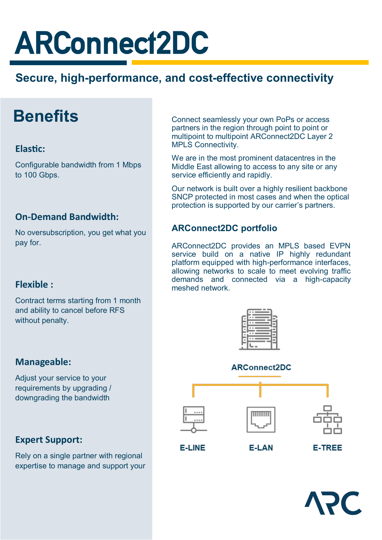# ARConnect2DC

### **Secure, high-performance, and cost-effective connectivity**

## **Benefits**

### **Elastic:**

Configurable bandwidth from 1 Mbps to 100 Gbps.

### **On-Demand Bandwidth:**

No oversubscription, you get what you pay for.

### **Flexible :**

Contract terms starting from 1 month and ability to cancel before RFS without penalty.

#### Connect seamlessly your own PoPs or access partners in the region through point to point or multipoint to multipoint ARConnect2DC Layer 2 MPLS Connectivity.

We are in the most prominent datacentres in the Middle East allowing to access to any site or any service efficiently and rapidly.

Our network is built over a highly resilient backbone SNCP protected in most cases and when the optical protection is supported by our carrier's partners.

### **ARConnect2DC portfolio**

ARConnect2DC provides an MPLS based EVPN service build on a native IP highly redundant platform equipped with high-performance interfaces, allowing networks to scale to meet evolving traffic demands and connected via a high-capacity meshed network.



### **ARConnect2DC**





### **Manageable:**

Adjust your service to your requirements by upgrading / downgrading the bandwidth

### **Expert Support:**

Rely on a single partner with regional expertise to manage and support your